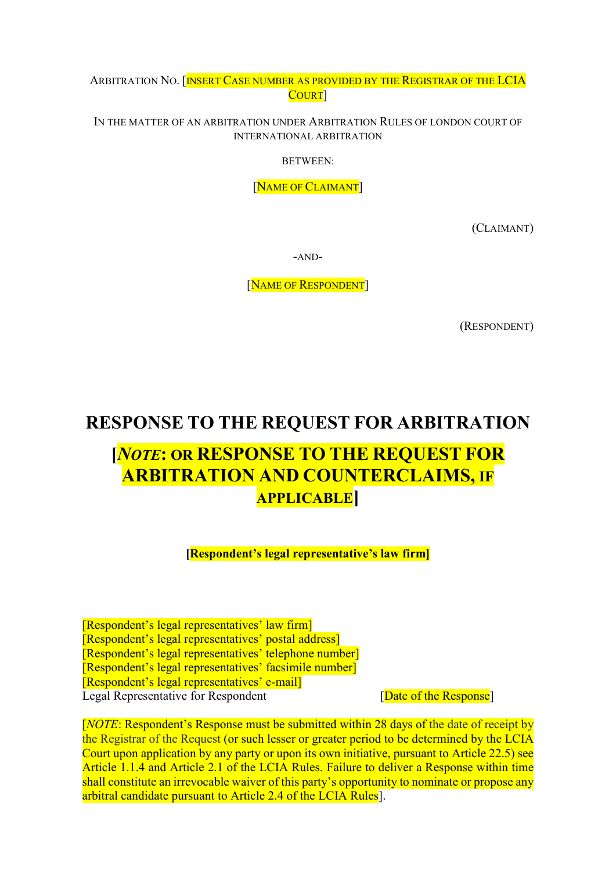ARBITRATION NO. [INSERT CASE NUMBER AS PROVIDED BY THE REGISTRAR OF THE LCIA COURT]

IN THE MATTER OF AN ARBITRATION UNDER ARBITRATION RULES OF LONDON COURT OF INTERNATIONAL ARBITRATION

BETWEEN:

[NAME OF CLAIMANT]

(CLAIMANT)

-AND-

[NAME OF RESPONDENT]

(RESPONDENT)

# RESPONSE TO THE REQUEST FOR ARBITRATION

# [NOTE: OR RESPONSE TO THE REQUEST FOR ARBITRATION AND COUNTERCLAIMS, IF APPLICABLE]

[Respondent's legal representative's law firm]

[Respondent's legal representatives' law firm] [Respondent's legal representatives' postal address] [Respondent's legal representatives' telephone number] [Respondent's legal representatives' facsimile number] [Respondent's legal representatives' e-mail] Legal Representative for Respondent [Date of the Response]

[NOTE: Respondent's Response must be submitted within 28 days of the date of receipt by the Registrar of the Request (or such lesser or greater period to be determined by the LCIA Court upon application by any party or upon its own initiative, pursuant to Article 22.5) see Article 1.1.4 and Article 2.1 of the LCIA Rules. Failure to deliver a Response within time shall constitute an irrevocable waiver of this party's opportunity to nominate or propose any arbitral candidate pursuant to Article 2.4 of the LCIA Rules.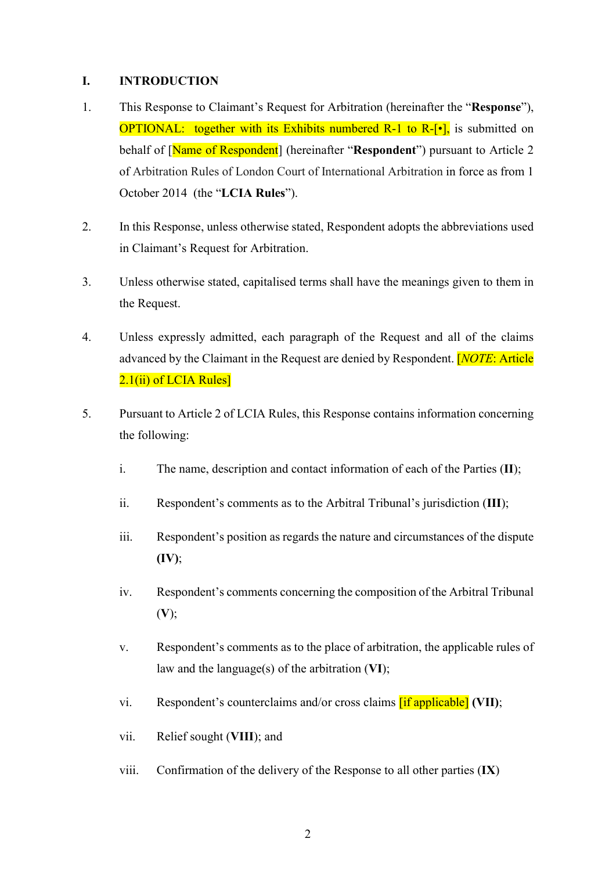#### I. INTRODUCTION

- 1. This Response to Claimant's Request for Arbitration (hereinafter the "Response"), **OPTIONAL:** together with its Exhibits numbered R-1 to R- $[\cdot]$ , is submitted on behalf of [Name of Respondent] (hereinafter "Respondent") pursuant to Article 2 of Arbitration Rules of London Court of International Arbitration in force as from 1 October 2014 (the "LCIA Rules").
- 2. In this Response, unless otherwise stated, Respondent adopts the abbreviations used in Claimant's Request for Arbitration.
- 3. Unless otherwise stated, capitalised terms shall have the meanings given to them in the Request.
- 4. Unless expressly admitted, each paragraph of the Request and all of the claims advanced by the Claimant in the Request are denied by Respondent. **[NOTE: Article** 2.1(ii) of LCIA Rules]
- 5. Pursuant to Article 2 of LCIA Rules, this Response contains information concerning the following:
	- i. The name, description and contact information of each of the Parties (II);
	- ii. Respondent's comments as to the Arbitral Tribunal's jurisdiction (III);
	- iii. Respondent's position as regards the nature and circumstances of the dispute (IV);
	- iv. Respondent's comments concerning the composition of the Arbitral Tribunal  $(V);$
	- v. Respondent's comments as to the place of arbitration, the applicable rules of law and the language(s) of the arbitration (VI);
	- vi. Respondent's counterclaims and/or cross claims  $\left[ \text{if applicable} \right]$  (VII);
	- vii. Relief sought (VIII); and
	- viii. Confirmation of the delivery of the Response to all other parties (IX)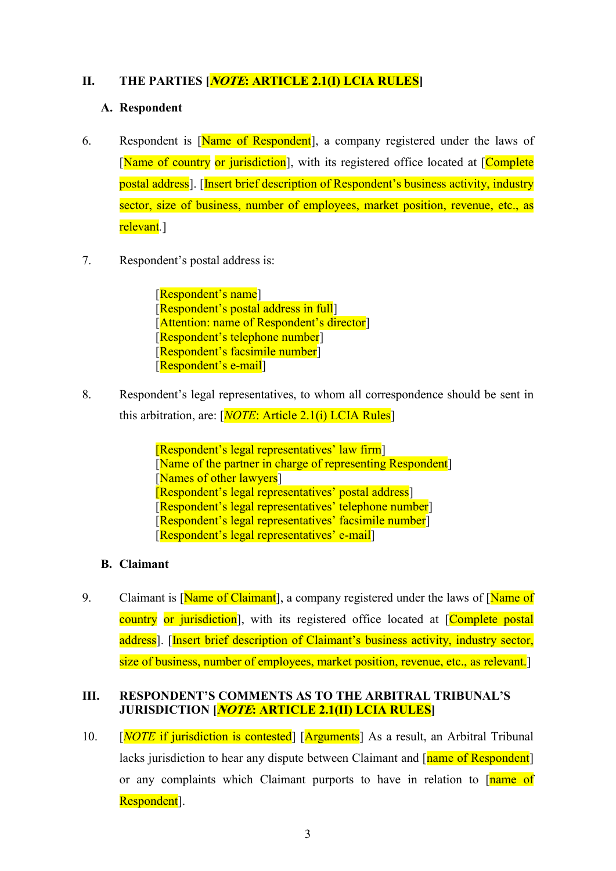## II. THE PARTIES **NOTE: ARTICLE 2.1(I) LCIA RULES**

#### A. Respondent

- 6. Respondent is [Name of Respondent], a company registered under the laws of [Name of country or jurisdiction], with its registered office located at [Complete] postal address]. [Insert brief description of Respondent's business activity, industry sector, size of business, number of employees, market position, revenue, etc., as relevant.]
- 7. Respondent's postal address is:

[Respondent's name] [Respondent's postal address in full] [Attention: name of Respondent's director] [Respondent's telephone number] [Respondent's facsimile number] [Respondent's e-mail]

8. Respondent's legal representatives, to whom all correspondence should be sent in this arbitration, are:  $[NOTE: Article 2.1(i) LCHA Rules]$ 

> [Respondent's legal representatives' law firm] [Name of the partner in charge of representing Respondent] [Names of other lawyers] [Respondent's legal representatives' postal address] [Respondent's legal representatives' telephone number] [Respondent's legal representatives' facsimile number] [Respondent's legal representatives' e-mail]

## B. Claimant

9. Claimant is [Name of Claimant], a company registered under the laws of [Name of country or jurisdiction], with its registered office located at [Complete postal] address]. [Insert brief description of Claimant's business activity, industry sector, size of business, number of employees, market position, revenue, etc., as relevant.

## III. RESPONDENT'S COMMENTS AS TO THE ARBITRAL TRIBUNAL'S JURISDICTION [*NOTE*: ARTICLE 2.1(II) LCIA RULES]

10. [*NOTE* if jurisdiction is contested] [Arguments] As a result, an Arbitral Tribunal lacks jurisdiction to hear any dispute between Claimant and [name of Respondent] or any complaints which Claimant purports to have in relation to [name of Respondent].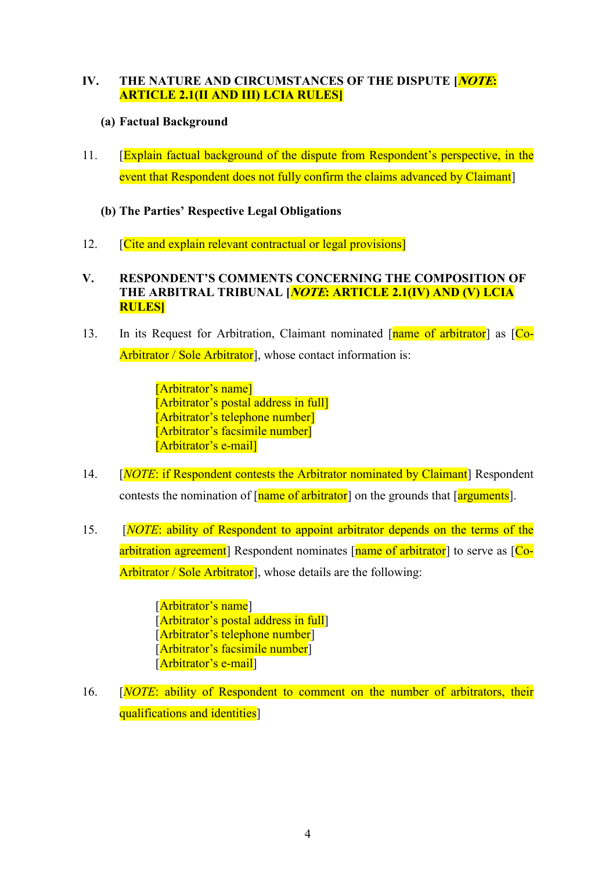## IV. THE NATURE AND CIRCUMSTANCES OF THE DISPUTE [*NOTE*: ARTICLE 2.1(II AND III) LCIA RULES]

## (a) Factual Background

- 11. [Explain factual background of the dispute from Respondent's perspective, in the event that Respondent does not fully confirm the claims advanced by Claimant
	- (b) The Parties' Respective Legal Obligations
- 12. **[Cite and explain relevant contractual or legal provisions]**

## V. RESPONDENT'S COMMENTS CONCERNING THE COMPOSITION OF THE ARBITRAL TRIBUNAL *[NOTE*: ARTICLE 2.1(IV) AND (V) LCIA RULES]

13. In its Request for Arbitration, Claimant nominated [name of arbitrator] as [Co-Arbitrator / Sole Arbitrator<sup>]</sup>, whose contact information is:

> [Arbitrator's name] [Arbitrator's postal address in full] [Arbitrator's telephone number] [Arbitrator's facsimile number] [Arbitrator's e-mail]

- 14. [*NOTE*: if Respondent contests the Arbitrator nominated by Claimant] Respondent contests the nomination of  $\lceil$  name of arbitrator  $\rceil$  on the grounds that  $\lceil$  arguments  $\rceil$ .
- 15. **INOTE:** ability of Respondent to appoint arbitrator depends on the terms of the arbitration agreement] Respondent nominates [name of arbitrator] to serve as [Co-Arbitrator / Sole Arbitrator<sup>]</sup>, whose details are the following:

[Arbitrator's name] [Arbitrator's postal address in full] [Arbitrator's telephone number] [Arbitrator's facsimile number] [Arbitrator's e-mail]

16. [NOTE: ability of Respondent to comment on the number of arbitrators, their qualifications and identities]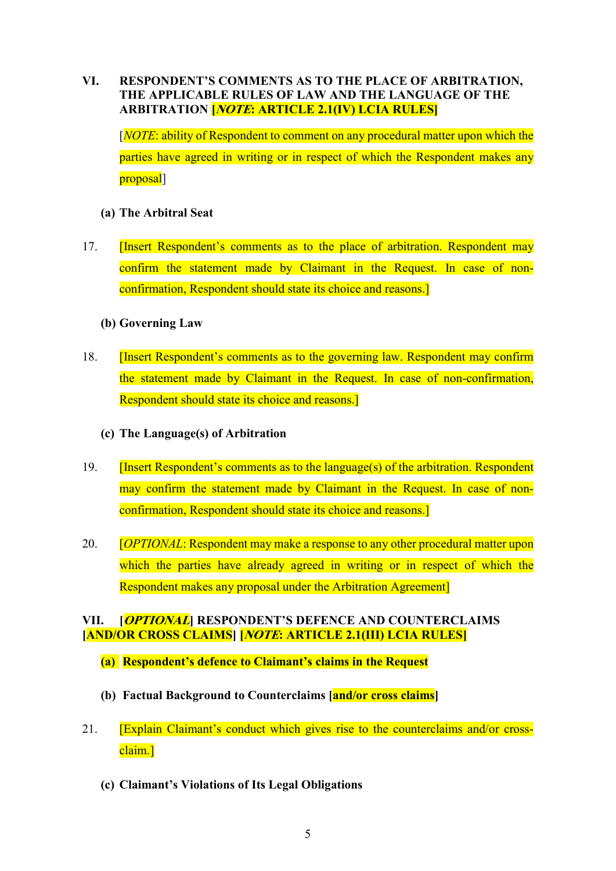## VI. RESPONDENT'S COMMENTS AS TO THE PLACE OF ARBITRATION, THE APPLICABLE RULES OF LAW AND THE LANGUAGE OF THE ARBITRATION [NOTE: ARTICLE 2.1(IV) LCIA RULES]

[NOTE: ability of Respondent to comment on any procedural matter upon which the parties have agreed in writing or in respect of which the Respondent makes any proposal]

#### (a) The Arbitral Seat

17. [Insert Respondent's comments as to the place of arbitration. Respondent may confirm the statement made by Claimant in the Request. In case of nonconfirmation, Respondent should state its choice and reasons.]

#### (b) Governing Law

- 18. **Insert Respondent's comments as to the governing law. Respondent may confirm** the statement made by Claimant in the Request. In case of non-confirmation, Respondent should state its choice and reasons.]
	- (c) The Language(s) of Arbitration
- 19. **[Insert Respondent's comments as to the language(s) of the arbitration. Respondent** may confirm the statement made by Claimant in the Request. In case of nonconfirmation, Respondent should state its choice and reasons.]
- 20. *COPTIONAL:* Respondent may make a response to any other procedural matter upon which the parties have already agreed in writing or in respect of which the Respondent makes any proposal under the Arbitration Agreement]

#### VII. [OPTIONAL] RESPONDENT'S DEFENCE AND COUNTERCLAIMS [AND/OR CROSS CLAIMS] [NOTE: ARTICLE 2.1(III) LCIA RULES]

- (a) Respondent's defence to Claimant's claims in the Request
- (b) Factual Background to Counterclaims [and/or cross claims]
- 21. [Explain Claimant's conduct which gives rise to the counterclaims and/or crossclaim.]
	- (c) Claimant's Violations of Its Legal Obligations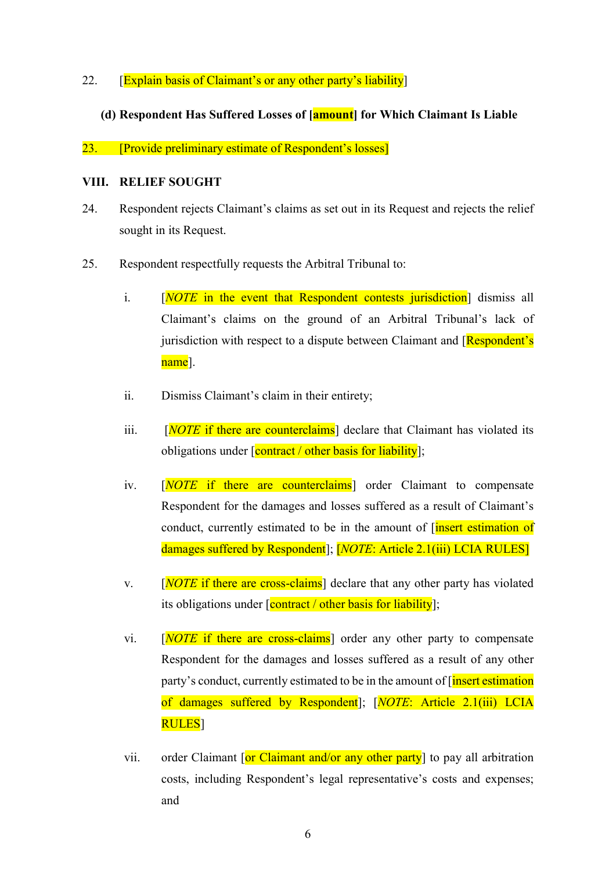22. [Explain basis of Claimant's or any other party's liability]

#### (d) Respondent Has Suffered Losses of [amount] for Which Claimant Is Liable

23. [Provide preliminary estimate of Respondent's losses]

#### VIII. RELIEF SOUGHT

- 24. Respondent rejects Claimant's claims as set out in its Request and rejects the relief sought in its Request.
- 25. Respondent respectfully requests the Arbitral Tribunal to:
	- i. [NOTE in the event that Respondent contests jurisdiction] dismiss all Claimant's claims on the ground of an Arbitral Tribunal's lack of jurisdiction with respect to a dispute between Claimant and [Respondent's name].
	- ii. Dismiss Claimant's claim in their entirety;
	- iii.  $[NOTE$  if there are counterclaims<sup>†</sup> declare that Claimant has violated its obligations under  $\sqrt{\frac{\text{contract}}{\text{ }}\theta}$  other basis for liability];
	- iv. [NOTE if there are counterclaims] order Claimant to compensate Respondent for the damages and losses suffered as a result of Claimant's conduct, currently estimated to be in the amount of *[insert estimation of* damages suffered by Respondent]; [*NOTE*: Article 2.1(iii) LCIA RULES]
	- v.  $[NOTE$  if there are cross-claims<sup>†</sup> declare that any other party has violated its obligations under  $\sqrt{\frac{\text{contract}}{\text{}}$  other basis for liability];
	- vi.  $[NOTE\$  if there are cross-claims order any other party to compensate Respondent for the damages and losses suffered as a result of any other party's conduct, currently estimated to be in the amount of *[insert estimation*] of damages suffered by Respondent]; [NOTE: Article 2.1(iii) LCIA RULES]
	- vii. order Claimant  $\left[ \text{or Claimant and/or any other party} \right]$  to pay all arbitration costs, including Respondent's legal representative's costs and expenses; and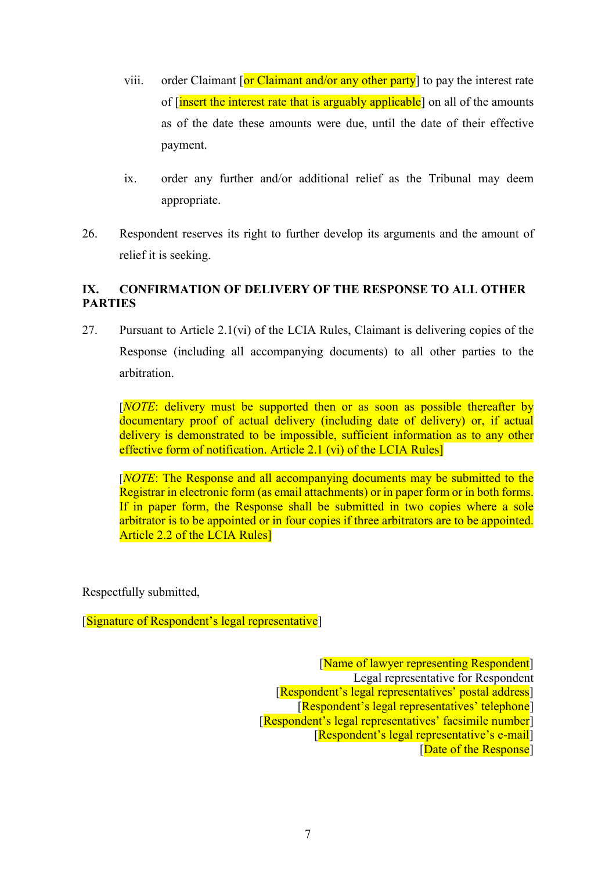- viii. order Claimant  $\sigma$  Claimant and/or any other party to pay the interest rate of [insert the interest rate that is arguably applicable] on all of the amounts as of the date these amounts were due, until the date of their effective payment.
- ix. order any further and/or additional relief as the Tribunal may deem appropriate.
- 26. Respondent reserves its right to further develop its arguments and the amount of relief it is seeking.

## IX. CONFIRMATION OF DELIVERY OF THE RESPONSE TO ALL OTHER PARTIES

27. Pursuant to Article 2.1(vi) of the LCIA Rules, Claimant is delivering copies of the Response (including all accompanying documents) to all other parties to the arbitration.

[NOTE: delivery must be supported then or as soon as possible thereafter by documentary proof of actual delivery (including date of delivery) or, if actual delivery is demonstrated to be impossible, sufficient information as to any other effective form of notification. Article 2.1 (vi) of the LCIA Rules]

[*NOTE*: The Response and all accompanying documents may be submitted to the Registrar in electronic form (as email attachments) or in paper form or in both forms. If in paper form, the Response shall be submitted in two copies where a sole arbitrator is to be appointed or in four copies if three arbitrators are to be appointed. Article 2.2 of the LCIA Rules]

Respectfully submitted,

[Signature of Respondent's legal representative]

 [Name of lawyer representing Respondent] Legal representative for Respondent [Respondent's legal representatives' postal address] [Respondent's legal representatives' telephone] [Respondent's legal representatives' facsimile number] [Respondent's legal representative's e-mail] [Date of the Response]